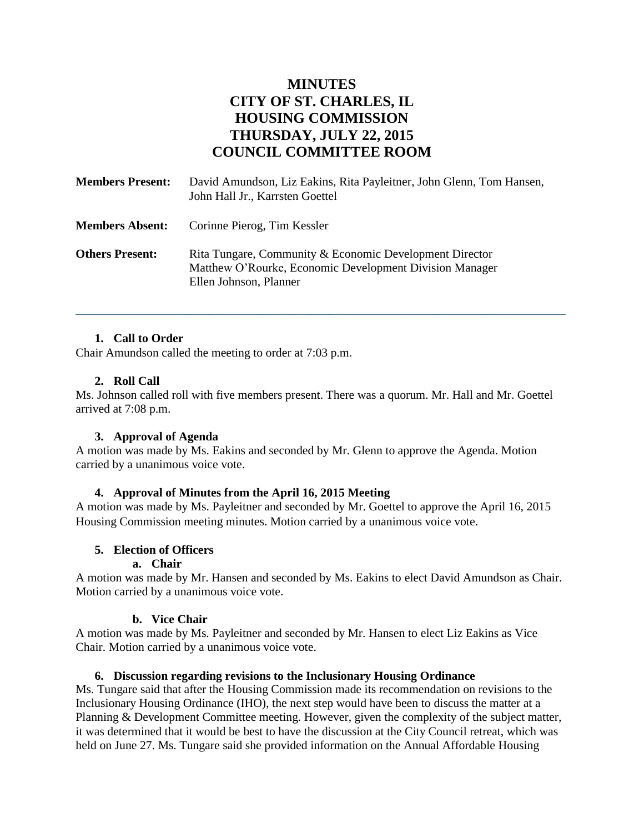# **MINUTES CITY OF ST. CHARLES, IL HOUSING COMMISSION THURSDAY, JULY 22, 2015 COUNCIL COMMITTEE ROOM**

| <b>Members Present:</b> | David Amundson, Liz Eakins, Rita Payleitner, John Glenn, Tom Hansen,<br>John Hall Jr., Karrsten Goettel                                      |
|-------------------------|----------------------------------------------------------------------------------------------------------------------------------------------|
| <b>Members Absent:</b>  | Corinne Pierog, Tim Kessler                                                                                                                  |
| <b>Others Present:</b>  | Rita Tungare, Community & Economic Development Director<br>Matthew O'Rourke, Economic Development Division Manager<br>Ellen Johnson, Planner |

## **1. Call to Order**

Chair Amundson called the meeting to order at 7:03 p.m.

### **2. Roll Call**

Ms. Johnson called roll with five members present. There was a quorum. Mr. Hall and Mr. Goettel arrived at 7:08 p.m.

\_\_\_\_\_\_\_\_\_\_\_\_\_\_\_\_\_\_\_\_\_\_\_\_\_\_\_\_\_\_\_\_\_\_\_\_\_\_\_\_\_\_\_\_\_\_\_\_\_\_\_\_\_\_\_\_\_\_\_\_\_\_\_\_\_\_\_\_\_\_\_\_\_\_\_\_\_\_\_\_\_

#### **3. Approval of Agenda**

A motion was made by Ms. Eakins and seconded by Mr. Glenn to approve the Agenda. Motion carried by a unanimous voice vote.

#### **4. Approval of Minutes from the April 16, 2015 Meeting**

A motion was made by Ms. Payleitner and seconded by Mr. Goettel to approve the April 16, 2015 Housing Commission meeting minutes. Motion carried by a unanimous voice vote.

#### **5. Election of Officers**

#### **a. Chair**

A motion was made by Mr. Hansen and seconded by Ms. Eakins to elect David Amundson as Chair. Motion carried by a unanimous voice vote.

#### **b. Vice Chair**

A motion was made by Ms. Payleitner and seconded by Mr. Hansen to elect Liz Eakins as Vice Chair. Motion carried by a unanimous voice vote.

#### **6. Discussion regarding revisions to the Inclusionary Housing Ordinance**

Ms. Tungare said that after the Housing Commission made its recommendation on revisions to the Inclusionary Housing Ordinance (IHO), the next step would have been to discuss the matter at a Planning & Development Committee meeting. However, given the complexity of the subject matter, it was determined that it would be best to have the discussion at the City Council retreat, which was held on June 27. Ms. Tungare said she provided information on the Annual Affordable Housing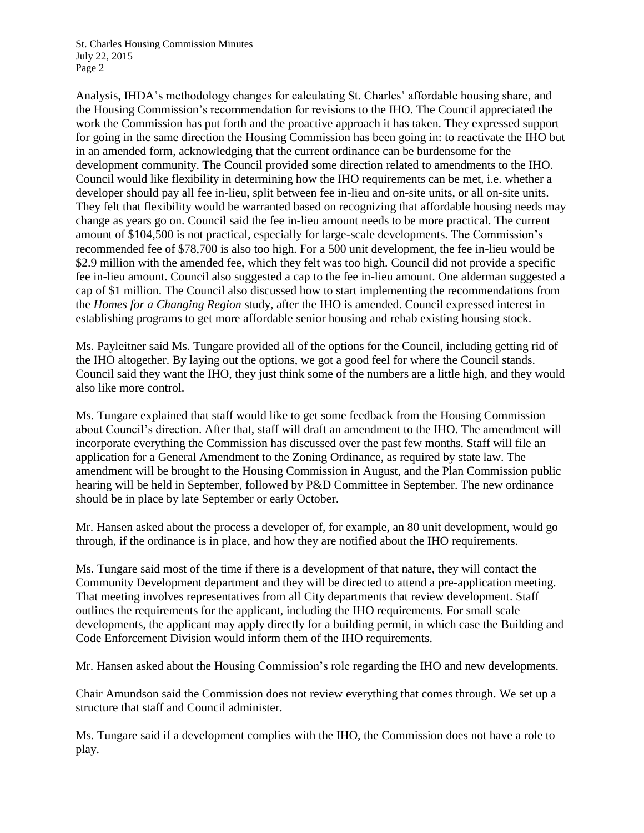Analysis, IHDA's methodology changes for calculating St. Charles' affordable housing share, and the Housing Commission's recommendation for revisions to the IHO. The Council appreciated the work the Commission has put forth and the proactive approach it has taken. They expressed support for going in the same direction the Housing Commission has been going in: to reactivate the IHO but in an amended form, acknowledging that the current ordinance can be burdensome for the development community. The Council provided some direction related to amendments to the IHO. Council would like flexibility in determining how the IHO requirements can be met, i.e. whether a developer should pay all fee in-lieu, split between fee in-lieu and on-site units, or all on-site units. They felt that flexibility would be warranted based on recognizing that affordable housing needs may change as years go on. Council said the fee in-lieu amount needs to be more practical. The current amount of \$104,500 is not practical, especially for large-scale developments. The Commission's recommended fee of \$78,700 is also too high. For a 500 unit development, the fee in-lieu would be \$2.9 million with the amended fee, which they felt was too high. Council did not provide a specific fee in-lieu amount. Council also suggested a cap to the fee in-lieu amount. One alderman suggested a cap of \$1 million. The Council also discussed how to start implementing the recommendations from the *Homes for a Changing Region* study, after the IHO is amended. Council expressed interest in establishing programs to get more affordable senior housing and rehab existing housing stock.

Ms. Payleitner said Ms. Tungare provided all of the options for the Council, including getting rid of the IHO altogether. By laying out the options, we got a good feel for where the Council stands. Council said they want the IHO, they just think some of the numbers are a little high, and they would also like more control.

Ms. Tungare explained that staff would like to get some feedback from the Housing Commission about Council's direction. After that, staff will draft an amendment to the IHO. The amendment will incorporate everything the Commission has discussed over the past few months. Staff will file an application for a General Amendment to the Zoning Ordinance, as required by state law. The amendment will be brought to the Housing Commission in August, and the Plan Commission public hearing will be held in September, followed by P&D Committee in September. The new ordinance should be in place by late September or early October.

Mr. Hansen asked about the process a developer of, for example, an 80 unit development, would go through, if the ordinance is in place, and how they are notified about the IHO requirements.

Ms. Tungare said most of the time if there is a development of that nature, they will contact the Community Development department and they will be directed to attend a pre-application meeting. That meeting involves representatives from all City departments that review development. Staff outlines the requirements for the applicant, including the IHO requirements. For small scale developments, the applicant may apply directly for a building permit, in which case the Building and Code Enforcement Division would inform them of the IHO requirements.

Mr. Hansen asked about the Housing Commission's role regarding the IHO and new developments.

Chair Amundson said the Commission does not review everything that comes through. We set up a structure that staff and Council administer.

Ms. Tungare said if a development complies with the IHO, the Commission does not have a role to play.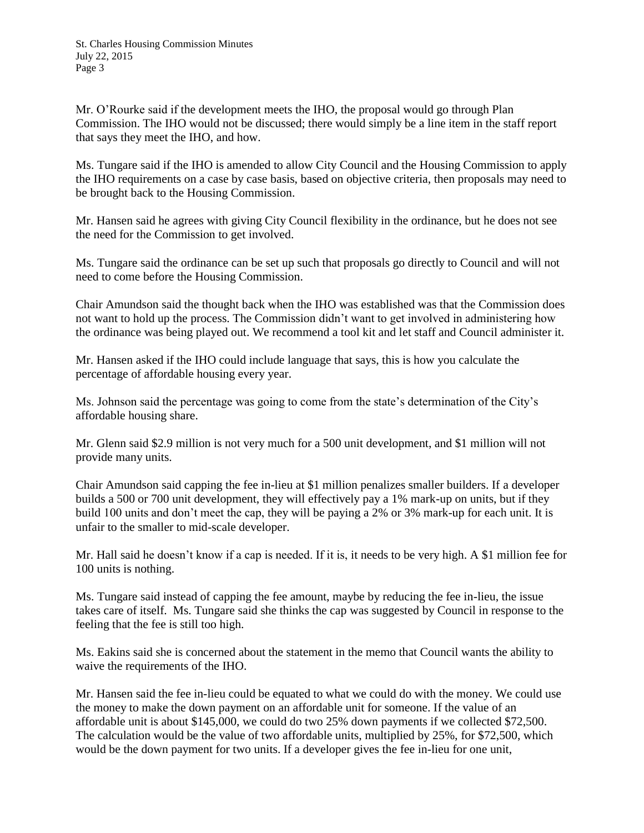Mr. O'Rourke said if the development meets the IHO, the proposal would go through Plan Commission. The IHO would not be discussed; there would simply be a line item in the staff report that says they meet the IHO, and how.

Ms. Tungare said if the IHO is amended to allow City Council and the Housing Commission to apply the IHO requirements on a case by case basis, based on objective criteria, then proposals may need to be brought back to the Housing Commission.

Mr. Hansen said he agrees with giving City Council flexibility in the ordinance, but he does not see the need for the Commission to get involved.

Ms. Tungare said the ordinance can be set up such that proposals go directly to Council and will not need to come before the Housing Commission.

Chair Amundson said the thought back when the IHO was established was that the Commission does not want to hold up the process. The Commission didn't want to get involved in administering how the ordinance was being played out. We recommend a tool kit and let staff and Council administer it.

Mr. Hansen asked if the IHO could include language that says, this is how you calculate the percentage of affordable housing every year.

Ms. Johnson said the percentage was going to come from the state's determination of the City's affordable housing share.

Mr. Glenn said \$2.9 million is not very much for a 500 unit development, and \$1 million will not provide many units.

Chair Amundson said capping the fee in-lieu at \$1 million penalizes smaller builders. If a developer builds a 500 or 700 unit development, they will effectively pay a 1% mark-up on units, but if they build 100 units and don't meet the cap, they will be paying a 2% or 3% mark-up for each unit. It is unfair to the smaller to mid-scale developer.

Mr. Hall said he doesn't know if a cap is needed. If it is, it needs to be very high. A \$1 million fee for 100 units is nothing.

Ms. Tungare said instead of capping the fee amount, maybe by reducing the fee in-lieu, the issue takes care of itself. Ms. Tungare said she thinks the cap was suggested by Council in response to the feeling that the fee is still too high.

Ms. Eakins said she is concerned about the statement in the memo that Council wants the ability to waive the requirements of the IHO.

Mr. Hansen said the fee in-lieu could be equated to what we could do with the money. We could use the money to make the down payment on an affordable unit for someone. If the value of an affordable unit is about \$145,000, we could do two 25% down payments if we collected \$72,500. The calculation would be the value of two affordable units, multiplied by 25%, for \$72,500, which would be the down payment for two units. If a developer gives the fee in-lieu for one unit,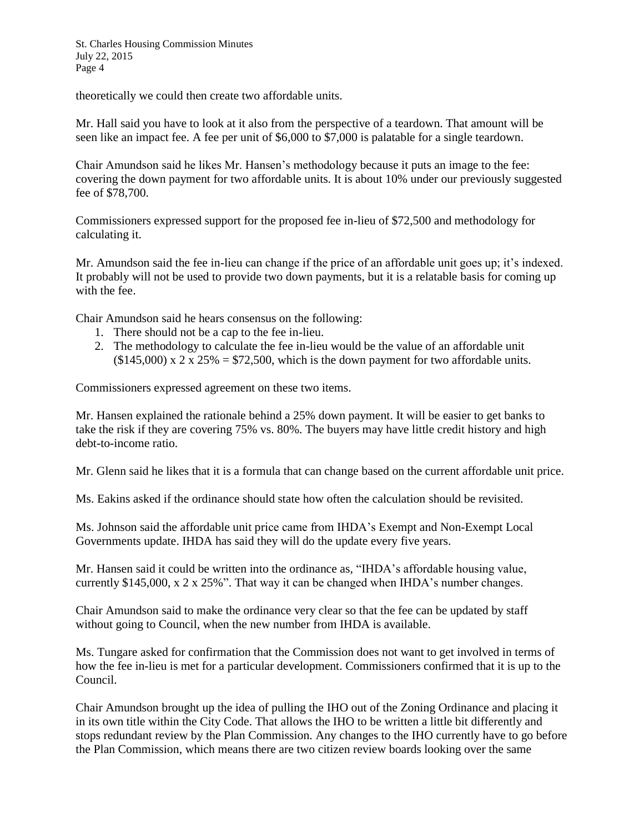theoretically we could then create two affordable units.

Mr. Hall said you have to look at it also from the perspective of a teardown. That amount will be seen like an impact fee. A fee per unit of \$6,000 to \$7,000 is palatable for a single teardown.

Chair Amundson said he likes Mr. Hansen's methodology because it puts an image to the fee: covering the down payment for two affordable units. It is about 10% under our previously suggested fee of \$78,700.

Commissioners expressed support for the proposed fee in-lieu of \$72,500 and methodology for calculating it.

Mr. Amundson said the fee in-lieu can change if the price of an affordable unit goes up; it's indexed. It probably will not be used to provide two down payments, but it is a relatable basis for coming up with the fee.

Chair Amundson said he hears consensus on the following:

- 1. There should not be a cap to the fee in-lieu.
- 2. The methodology to calculate the fee in-lieu would be the value of an affordable unit  $(145,000)$  x 2 x 25% = \$72,500, which is the down payment for two affordable units.

Commissioners expressed agreement on these two items.

Mr. Hansen explained the rationale behind a 25% down payment. It will be easier to get banks to take the risk if they are covering 75% vs. 80%. The buyers may have little credit history and high debt-to-income ratio.

Mr. Glenn said he likes that it is a formula that can change based on the current affordable unit price.

Ms. Eakins asked if the ordinance should state how often the calculation should be revisited.

Ms. Johnson said the affordable unit price came from IHDA's Exempt and Non-Exempt Local Governments update. IHDA has said they will do the update every five years.

Mr. Hansen said it could be written into the ordinance as, "IHDA's affordable housing value, currently \$145,000, x 2 x 25%". That way it can be changed when IHDA's number changes.

Chair Amundson said to make the ordinance very clear so that the fee can be updated by staff without going to Council, when the new number from IHDA is available.

Ms. Tungare asked for confirmation that the Commission does not want to get involved in terms of how the fee in-lieu is met for a particular development. Commissioners confirmed that it is up to the Council.

Chair Amundson brought up the idea of pulling the IHO out of the Zoning Ordinance and placing it in its own title within the City Code. That allows the IHO to be written a little bit differently and stops redundant review by the Plan Commission. Any changes to the IHO currently have to go before the Plan Commission, which means there are two citizen review boards looking over the same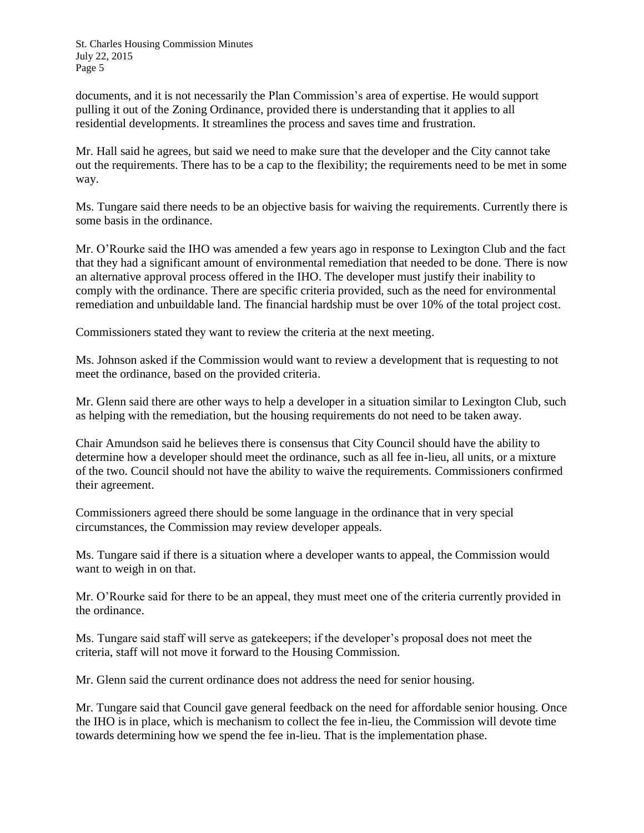documents, and it is not necessarily the Plan Commission's area of expertise. He would support pulling it out of the Zoning Ordinance, provided there is understanding that it applies to all residential developments. It streamlines the process and saves time and frustration.

Mr. Hall said he agrees, but said we need to make sure that the developer and the City cannot take out the requirements. There has to be a cap to the flexibility; the requirements need to be met in some way.

Ms. Tungare said there needs to be an objective basis for waiving the requirements. Currently there is some basis in the ordinance.

Mr. O'Rourke said the IHO was amended a few years ago in response to Lexington Club and the fact that they had a significant amount of environmental remediation that needed to be done. There is now an alternative approval process offered in the IHO. The developer must justify their inability to comply with the ordinance. There are specific criteria provided, such as the need for environmental remediation and unbuildable land. The financial hardship must be over 10% of the total project cost.

Commissioners stated they want to review the criteria at the next meeting.

Ms. Johnson asked if the Commission would want to review a development that is requesting to not meet the ordinance, based on the provided criteria.

Mr. Glenn said there are other ways to help a developer in a situation similar to Lexington Club, such as helping with the remediation, but the housing requirements do not need to be taken away.

Chair Amundson said he believes there is consensus that City Council should have the ability to determine how a developer should meet the ordinance, such as all fee in-lieu, all units, or a mixture of the two. Council should not have the ability to waive the requirements. Commissioners confirmed their agreement.

Commissioners agreed there should be some language in the ordinance that in very special circumstances, the Commission may review developer appeals.

Ms. Tungare said if there is a situation where a developer wants to appeal, the Commission would want to weigh in on that.

Mr. O'Rourke said for there to be an appeal, they must meet one of the criteria currently provided in the ordinance.

Ms. Tungare said staff will serve as gatekeepers; if the developer's proposal does not meet the criteria, staff will not move it forward to the Housing Commission.

Mr. Glenn said the current ordinance does not address the need for senior housing.

Mr. Tungare said that Council gave general feedback on the need for affordable senior housing. Once the IHO is in place, which is mechanism to collect the fee in-lieu, the Commission will devote time towards determining how we spend the fee in-lieu. That is the implementation phase.